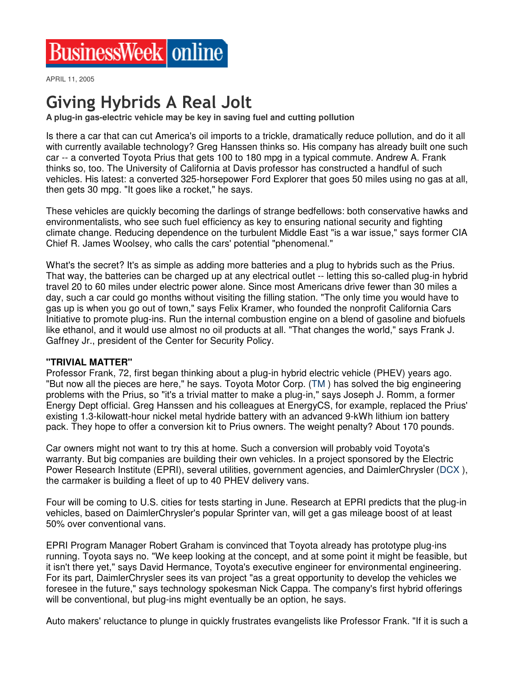APRIL 11, 2005

## **Giving Hybrids A Real Jolt**

**A plug-in gas-electric vehicle may be key in saving fuel and cutting pollution**

Is there a car that can cut America's oil imports to a trickle, dramatically reduce pollution, and do it all with currently available technology? Greg Hanssen thinks so. His company has already built one such car -- a converted Toyota Prius that gets 100 to 180 mpg in a typical commute. Andrew A. Frank thinks so, too. The University of California at Davis professor has constructed a handful of such vehicles. His latest: a converted 325-horsepower Ford Explorer that goes 50 miles using no gas at all, then gets 30 mpg. "It goes like a rocket," he says.

These vehicles are quickly becoming the darlings of strange bedfellows: both conservative hawks and environmentalists, who see such fuel efficiency as key to ensuring national security and fighting climate change. Reducing dependence on the turbulent Middle East "is a war issue," says former CIA Chief R. James Woolsey, who calls the cars' potential "phenomenal."

What's the secret? It's as simple as adding more batteries and a plug to hybrids such as the Prius. That way, the batteries can be charged up at any electrical outlet -- letting this so-called plug-in hybrid travel 20 to 60 miles under electric power alone. Since most Americans drive fewer than 30 miles a day, such a car could go months without visiting the filling station. "The only time you would have to gas up is when you go out of town," says Felix Kramer, who founded the nonprofit California Cars Initiative to promote plug-ins. Run the internal combustion engine on a blend of gasoline and biofuels like ethanol, and it would use almost no oil products at all. "That changes the world," says Frank J. Gaffney Jr., president of the Center for Security Policy.

## **"TRIVIAL MATTER"**

Professor Frank, 72, first began thinking about a plug-in hybrid electric vehicle (PHEV) years ago. "But now all the pieces are here," he says. Toyota Motor Corp. (TM ) has solved the big engineering problems with the Prius, so "it's a trivial matter to make a plug-in," says Joseph J. Romm, a former Energy Dept official. Greg Hanssen and his colleagues at EnergyCS, for example, replaced the Prius' existing 1.3-kilowatt-hour nickel metal hydride battery with an advanced 9-kWh lithium ion battery pack. They hope to offer a conversion kit to Prius owners. The weight penalty? About 170 pounds.

Car owners might not want to try this at home. Such a conversion will probably void Toyota's warranty. But big companies are building their own vehicles. In a project sponsored by the Electric Power Research Institute (EPRI), several utilities, government agencies, and DaimlerChrysler (DCX ), the carmaker is building a fleet of up to 40 PHEV delivery vans.

Four will be coming to U.S. cities for tests starting in June. Research at EPRI predicts that the plug-in vehicles, based on DaimlerChrysler's popular Sprinter van, will get a gas mileage boost of at least 50% over conventional vans.

EPRI Program Manager Robert Graham is convinced that Toyota already has prototype plug-ins running. Toyota says no. "We keep looking at the concept, and at some point it might be feasible, but it isn't there yet," says David Hermance, Toyota's executive engineer for environmental engineering. For its part, DaimlerChrysler sees its van project "as a great opportunity to develop the vehicles we foresee in the future," says technology spokesman Nick Cappa. The company's first hybrid offerings will be conventional, but plug-ins might eventually be an option, he says.

Auto makers' reluctance to plunge in quickly frustrates evangelists like Professor Frank. "If it is such a